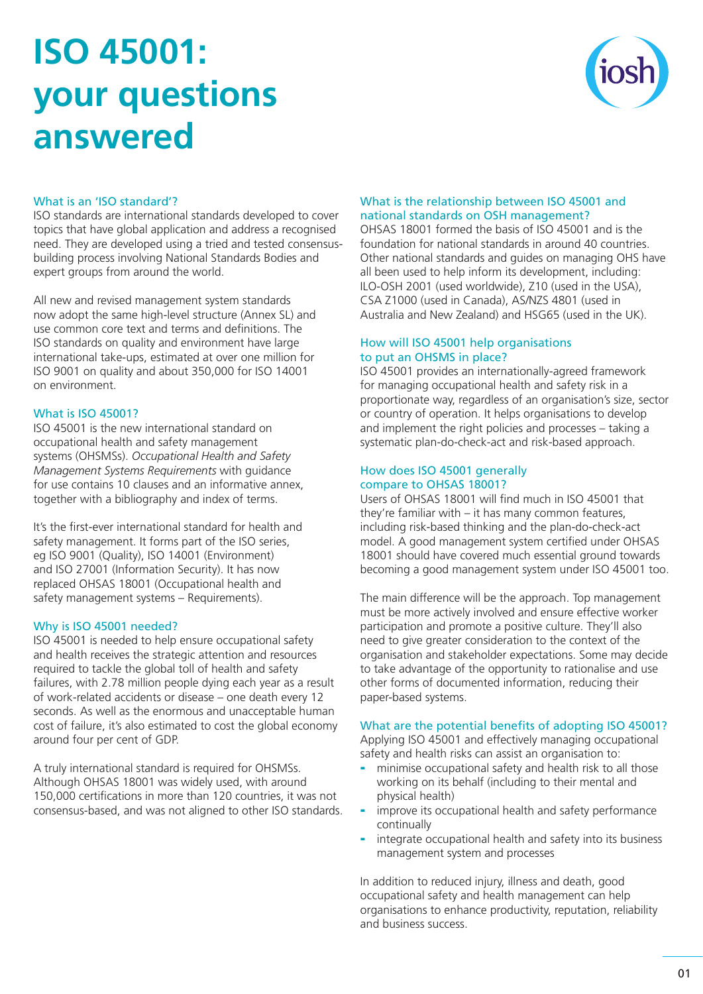# **ISO 45001: your questions answered**



# What is an 'ISO standard'?

ISO standards are international standards developed to cover topics that have global application and address a recognised need. They are developed using a tried and tested consensusbuilding process involving National Standards Bodies and expert groups from around the world.

All new and revised management system standards now adopt the same high-level structure (Annex SL) and use common core text and terms and definitions. The ISO standards on quality and environment have large international take-ups, estimated at over one million for ISO 9001 on quality and about 350,000 for ISO 14001 on environment.

# What is ISO 45001?

ISO 45001 is the new international standard on occupational health and safety management systems (OHSMSs). *Occupational Health and Safety Management Systems Requirements* with guidance for use contains 10 clauses and an informative annex, together with a bibliography and index of terms.

It's the first-ever international standard for health and safety management. It forms part of the ISO series, eg ISO 9001 (Quality), ISO 14001 (Environment) and ISO 27001 (Information Security). It has now replaced OHSAS 18001 (Occupational health and safety management systems – Requirements).

## Why is ISO 45001 needed?

ISO 45001 is needed to help ensure occupational safety and health receives the strategic attention and resources required to tackle the global toll of health and safety failures, with 2.78 million people dying each year as a result of work-related accidents or disease – one death every 12 seconds. As well as the enormous and unacceptable human cost of failure, it's also estimated to cost the global economy around four per cent of GDP.

A truly international standard is required for OHSMSs. Although OHSAS 18001 was widely used, with around 150,000 certifications in more than 120 countries, it was not consensus-based, and was not aligned to other ISO standards.

# What is the relationship between ISO 45001 and national standards on OSH management?

OHSAS 18001 formed the basis of ISO 45001 and is the foundation for national standards in around 40 countries. Other national standards and guides on managing OHS have all been used to help inform its development, including: ILO-OSH 2001 (used worldwide), Z10 (used in the USA), CSA Z1000 (used in Canada), AS/NZS 4801 (used in Australia and New Zealand) and HSG65 (used in the UK).

## How will ISO 45001 help organisations to put an OHSMS in place?

ISO 45001 provides an internationally-agreed framework for managing occupational health and safety risk in a proportionate way, regardless of an organisation's size, sector or country of operation. It helps organisations to develop and implement the right policies and processes – taking a systematic plan-do-check-act and risk-based approach.

#### How does ISO 45001 generally compare to OHSAS 18001?

Users of OHSAS 18001 will find much in ISO 45001 that they're familiar with – it has many common features, including risk-based thinking and the plan-do-check-act model. A good management system certified under OHSAS 18001 should have covered much essential ground towards becoming a good management system under ISO 45001 too.

The main difference will be the approach. Top management must be more actively involved and ensure effective worker participation and promote a positive culture. They'll also need to give greater consideration to the context of the organisation and stakeholder expectations. Some may decide to take advantage of the opportunity to rationalise and use other forms of documented information, reducing their paper-based systems.

# What are the potential benefits of adopting ISO 45001?

Applying ISO 45001 and effectively managing occupational safety and health risks can assist an organisation to:

- minimise occupational safety and health risk to all those working on its behalf (including to their mental and physical health)
- improve its occupational health and safety performance continually
- integrate occupational health and safety into its business management system and processes

In addition to reduced injury, illness and death, good occupational safety and health management can help organisations to enhance productivity, reputation, reliability and business success.